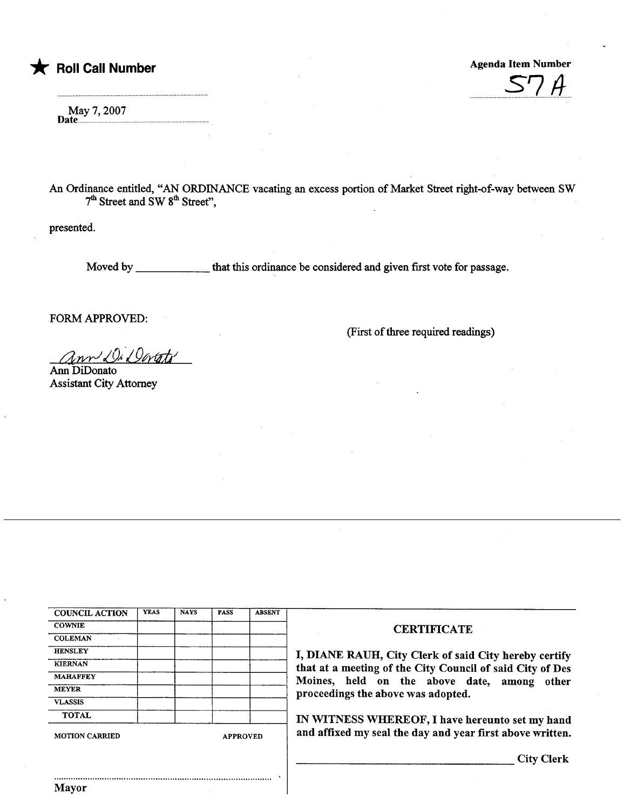## \* Roll Call Number Agenda Item Number

 $57A$ 

May 7, 2007 Date.....................................

An Ordinance entitled, "AN ORDINANCE vacating an excess portion of Market Street right-of-way between SW  $7<sup>th</sup>$  Street and SW  $8<sup>th</sup>$  Street",

presented.

Moved by that this ordinance be considered and given first vote for passage.

FORM APPROVED:

(First of thee required readings)

Jon Di Dovato

Ann DiDonato Assistant City Attorney

| <b>COUNCIL ACTION</b> | YEAS | <b>NAYS</b> | PASS            | <b>ABSENT</b> |
|-----------------------|------|-------------|-----------------|---------------|
| <b>COWNIE</b>         |      |             |                 |               |
| <b>COLEMAN</b>        |      |             |                 |               |
| <b>HENSLEY</b>        |      |             |                 |               |
| <b>KIERNAN</b>        |      |             |                 |               |
| <b>MAHAFFEY</b>       |      |             |                 |               |
| <b>MEYER</b>          |      |             |                 |               |
| <b>VLASSIS</b>        |      |             |                 |               |
| <b>TOTAL</b>          |      |             |                 |               |
| <b>MOTION CARRIED</b> |      |             | <b>APPROVED</b> |               |

..........................................................................................

## **CERTIFICATE**

I, DIANE RAUH, City Clerk of said City hereby certify that at a meeting of the City Council of said City of Des Moines, held on the above date, among other proceedings the above was adopted.

IN WITNESS WHEREOF, I have hereunto set my hand and affixed my seal the day and year first above written.

City Clerk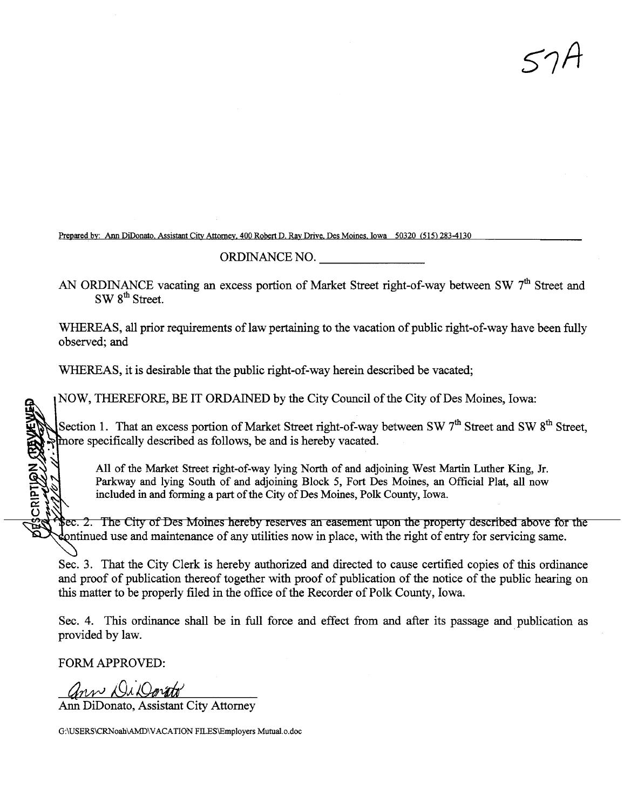51/l

Prepared by: Ann DiDonato, Assistant City Attorney, 400 Robert D. Ray Drive, Des Moines, Iowa 50320 (515) 283-4130

## ORDINANCE NO.

AN ORDINANCE vacating an excess portion of Market Street right-of-way between SW 7<sup>th</sup> Street and  $SW 8<sup>th</sup> Street.$ 

WHEREAS, all prior requirements of law pertaining to the vacation of public right-of-way have been fully observed; and

WHEREAS, it is desirable that the public right-of-way herein described be vacated;

NOW, THEREFORE, BE IT ORDAINED by the City Council of the City of Des Moines, Iowa:

Section 1. That an excess portion of Market Street right-of-way between SW  $7<sup>th</sup>$  Street and SW  $8<sup>th</sup>$  Street, more specifically described as follows, be and is hereby vacated.

All of the Market Street right-of-way lying North of and adjoining West Martin Luther King, Jr. Parkway and lying South of and adjoining Block 5, Fort Des Moines, an Official Plat, all now included in and forming a part of the City of Des Moines, Polk County, Iowa.

Sec. 2. The City of Des Moines hereby reserves an easement upon the property described above for the ontinued use and maintenance of any utilities now in place, with the right of entry for servicing same.

Sec. 3. That the City Clerk is hereby authorized and directed to cause certified copies of this ordinance and proof of publication thereof together with proof of publication of the notice of the public hearing on this matter to be properly filed in the office of the Recorder of Polk County, Iowa.

Sec. 4. This ordinance shall be in full force and effect from and after its passage and publication as provided by law.

FORM APPROVED:

,

ESCRIPTION MENT

ann Du Dorato

Ann DiDonato, Assistant City Attorney

G:\USERS\CRNoah\AMD\VACATION FILES\Employers Mutual.o.doc